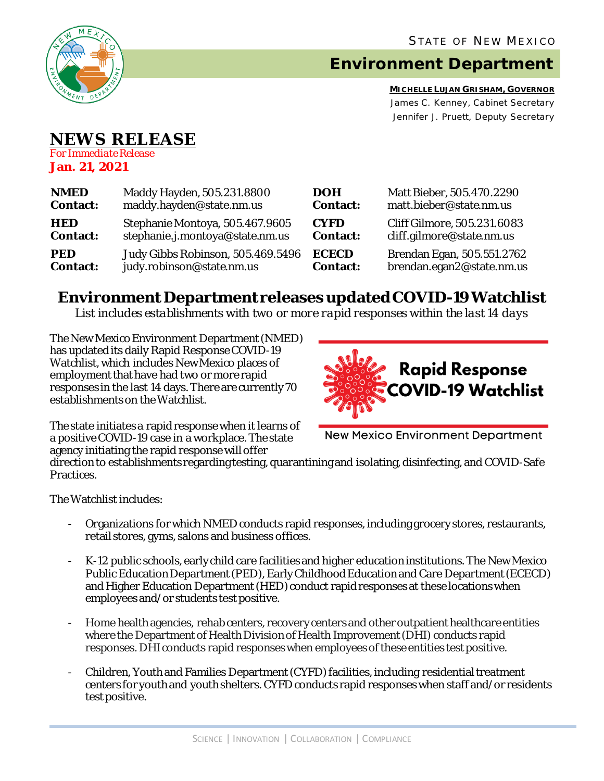

# **Environment Department**

**MICHELLE LUJAN GRISHAM, GOVERNOR** James C. Kenney, Cabinet Secretary Jennifer J. Pruett, Deputy Secretary

# **NEWS RELEASE**

*For Immediate Release* **Jan. 21, 2021**

| <b>NMED</b>     | Maddy Hayden, 505.231.8800        | <b>DOH</b>      | Matt Bieber, 505.470.2290   |
|-----------------|-----------------------------------|-----------------|-----------------------------|
| <b>Contact:</b> | maddy.hayden@state.nm.us          | <b>Contact:</b> | matt.bieber@state.nm.us     |
| <b>HED</b>      | Stephanie Montoya, 505.467.9605   | <b>CYFD</b>     | Cliff Gilmore, 505.231.6083 |
| <b>Contact:</b> | stephanie.j.montoya@state.nm.us   | <b>Contact:</b> | cliff.gilmore@state.nm.us   |
| <b>PED</b>      | Judy Gibbs Robinson, 505.469.5496 | <b>ECECD</b>    | Brendan Egan, 505.551.2762  |
| <b>Contact:</b> | judy.robinson@state.nm.us         | <b>Contact:</b> | brendan.egan2@state.nm.us   |

## **Environment Department releases updated COVID-19 Watchlist**

*List includes establishments with two or more rapid responses within the last 14 days*

The New Mexico Environment Department(NMED) has updated its daily Rapid Response COVID-19 Watchlist, which includes New Mexico places of employment that have had two or more rapid responses in the last 14 days. There are currently 70 establishments on the Watchlist.



The state initiates a rapid response when it learns of a positive COVID-19 case in a workplace. The state agency initiating the rapid response will offer

New Mexico Environment Department

direction to establishments regarding testing, quarantining and isolating, disinfecting, and COVID-Safe Practices.

The Watchlist includes:

- Organizations for which NMED conducts rapid responses, including grocery stores, restaurants, retail stores, gyms, salons and business offices.
- K-12 public schools, early child care facilities and higher education institutions. The New Mexico Public Education Department (PED), Early Childhood Education and Care Department (ECECD) and Higher Education Department (HED) conduct rapid responses at these locations when employees and/or students test positive.
- Home health agencies, rehab centers, recovery centers and other outpatient healthcare entities where the Department of Health Division of Health Improvement (DHI) conducts rapid responses. DHIconducts rapid responses when employees of these entities test positive.
- Children, Youth and Families Department (CYFD) facilities, including residential treatment centers for youth and youth shelters.CYFD conducts rapid responses when staff and/or residents test positive.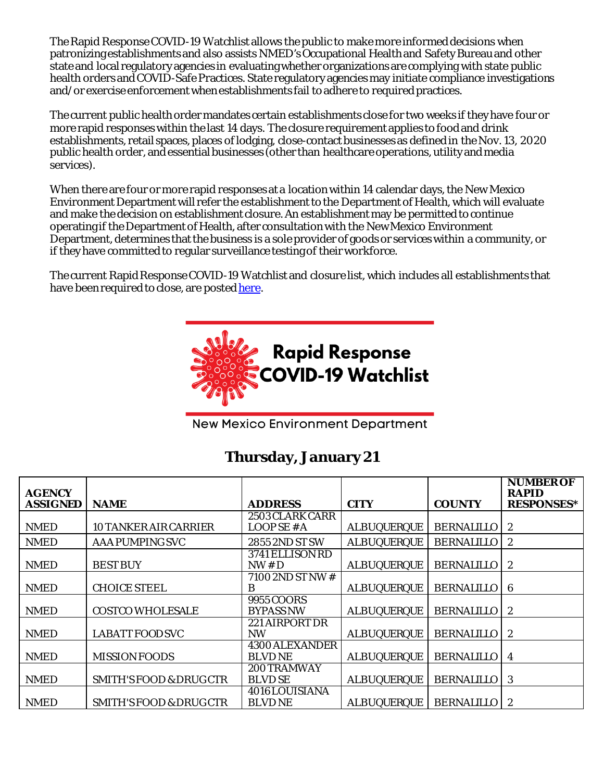The Rapid Response COVID-19 Watchlist allows the public to make more informed decisions when patronizing establishments and also assists NMED's Occupational Health and Safety Bureauand other state and local regulatory agencies in evaluating whether organizations are complying with state public health orders and COVID-Safe Practices. State regulatory agencies may initiate compliance investigations and/or exercise enforcement when establishments fail to adhere to required practices.

The current public health order mandates certain establishments close for two weeks if they have four or more rapid responses within the last 14 days. The closure requirement applies to food and drink establishments, retail spaces, places of lodging, close-contact businesses as defined in the Nov. 13, 2020 public health order, and essential businesses (other than healthcare operations, utility and media services).

When there are four or more rapid responses at a location within 14 calendar days, the New Mexico Environment Department will refer the establishment to the Department of Health, which will evaluate and make the decision on establishment closure. An establishment may be permitted to continue operating if the Department of Health, after consultation with the New Mexico Environment Department, determines that the business is a sole provider of goods or services within a community, or if they have committed to regular surveillance testing of their workforce.

The current Rapid Response COVID-19 Watchlist and closure list, which includes all establishments that have been required to close, are poste[d here.](https://www.env.nm.gov/rapid-response-data/)



**New Mexico Environment Department** 

### **Thursday, January 21**

| <b>AGENCY</b>   |                                    |                       |                    |                   | <b>NUMBER OF</b><br><b>RAPID</b> |
|-----------------|------------------------------------|-----------------------|--------------------|-------------------|----------------------------------|
| <b>ASSIGNED</b> | <b>NAME</b>                        | <b>ADDRESS</b>        | <b>CITY</b>        | <b>COUNTY</b>     | <b>RESPONSES*</b>                |
|                 |                                    | 2503 CLARK CARR       |                    |                   |                                  |
| <b>NMED</b>     | 10 TANKER AIR CARRIER              | LOOPSE # A            | <b>ALBUQUERQUE</b> | <b>BERNALILLO</b> | 2                                |
| <b>NMED</b>     | <b>AAA PUMPING SVC</b>             | 2855 2ND ST SW        | <b>ALBUQUERQUE</b> | <b>BERNALILLO</b> | 2                                |
|                 |                                    | 3741 ELLISON RD       |                    |                   |                                  |
| <b>NMED</b>     | <b>BEST BUY</b>                    | NW#D                  | <b>ALBUQUERQUE</b> | <b>BERNALILLO</b> | 2                                |
|                 |                                    | 7100 2ND ST NW #      |                    |                   |                                  |
| <b>NMED</b>     | <b>CHOICE STEEL</b>                | B                     | <b>ALBUQUERQUE</b> | <b>BERNALILLO</b> | 6                                |
|                 |                                    | 9955 COORS            |                    |                   |                                  |
| <b>NMED</b>     | <b>COSTCO WHOLESALE</b>            | <b>BYPASS NW</b>      | <b>ALBUQUERQUE</b> | <b>BERNALILLO</b> | 2                                |
|                 |                                    | 221 AIRPORT DR        |                    |                   |                                  |
| <b>NMED</b>     | <b>LABATT FOOD SVC</b>             | <b>NW</b>             | <b>ALBUQUERQUE</b> | <b>BERNALILLO</b> | 2                                |
|                 |                                    | <b>4300 ALEXANDER</b> |                    |                   |                                  |
| <b>NMED</b>     | <b>MISSION FOODS</b>               | <b>BLVD NE</b>        | <b>ALBUQUERQUE</b> | <b>BERNALILLO</b> | 4                                |
|                 |                                    | 200 TRAMWAY           |                    |                   |                                  |
| <b>NMED</b>     | <b>SMITH'S FOOD &amp; DRUG CTR</b> | <b>BLVD SE</b>        | <b>ALBUQUERQUE</b> | <b>BERNALILLO</b> | 3                                |
|                 |                                    | 4016LOUISIANA         |                    |                   |                                  |
| <b>NMED</b>     | <b>SMITH'S FOOD &amp; DRUG CTR</b> | <b>BLVD NE</b>        | <b>ALBUQUERQUE</b> | <b>BERNALILLO</b> | $\boldsymbol{2}$                 |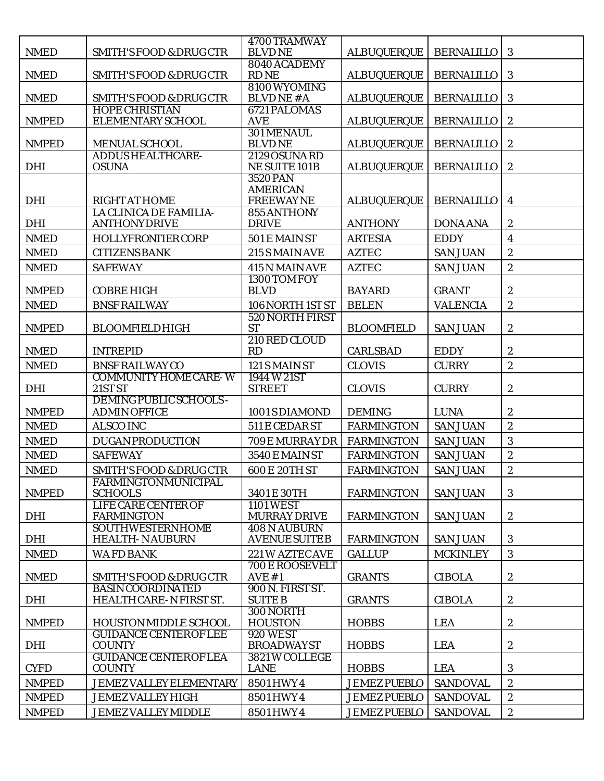| <b>NMED</b>                  | <b>SMITH'S FOOD &amp; DRUG CTR</b>                     | 4700 TRAMWAY<br><b>BLVDNE</b>               | <b>ALBUQUERQUE</b>                         | <b>BERNALILLO</b>                  | 3                              |
|------------------------------|--------------------------------------------------------|---------------------------------------------|--------------------------------------------|------------------------------------|--------------------------------|
| <b>NMED</b>                  | <b>SMITH'S FOOD &amp; DRUG CTR</b>                     | 8040 ACADEMY<br><b>RDNE</b>                 | <b>ALBUQUERQUE</b>                         | <b>BERNALILLO</b>                  | $\mathbf{3}$                   |
|                              |                                                        | 8100 WYOMING                                |                                            |                                    |                                |
| <b>NMED</b>                  | <b>SMITH'S FOOD &amp; DRUG CTR</b>                     | <b>BLVDNE#A</b>                             | <b>ALBUQUERQUE</b>                         | <b>BERNALILLO</b>                  | 3                              |
| <b>NMPED</b>                 | <b>HOPE CHRISTIAN</b><br>ELEMENTARY SCHOOL             | 6721 PALOMAS<br><b>AVE</b>                  | <b>ALBUQUERQUE</b>                         | <b>BERNALILLO</b>                  | $\boldsymbol{2}$               |
| <b>NMPED</b>                 | <b>MENUAL SCHOOL</b>                                   | 301 MENAUL<br><b>BLVDNE</b>                 | <b>ALBUQUERQUE</b>                         | <b>BERNALILLO</b>                  | $\boldsymbol{2}$               |
| <b>DHI</b>                   | <b>ADDUS HEALTHCARE-</b><br><b>OSUNA</b>               | 2129 OSUNA RD<br><b>NE SUITE 101B</b>       | <b>ALBUQUERQUE</b>                         | <b>BERNALILLO</b>                  | $\boldsymbol{2}$               |
|                              |                                                        | <b>3520 PAN</b>                             |                                            |                                    |                                |
| <b>DHI</b>                   | <b>RIGHT AT HOME</b>                                   | <b>AMERICAN</b><br><b>FREEWAYNE</b>         | <b>ALBUQUERQUE</b>                         | <b>BERNALILLO</b>                  | $\overline{\mathbf{4}}$        |
| <b>DHI</b>                   | <b>LA CLINICA DE FAMILIA-</b><br><b>ANTHONYDRIVE</b>   | 855 ANTHONY<br><b>DRIVE</b>                 | <b>ANTHONY</b>                             | <b>DONA ANA</b>                    | $\boldsymbol{2}$               |
| <b>NMED</b>                  | <b>HOLLYFRONTIER CORP</b>                              | 501 E MAIN ST                               | <b>ARTESIA</b>                             | <b>EDDY</b>                        | $\overline{\mathbf{4}}$        |
| <b>NMED</b>                  | <b>CITIZENS BANK</b>                                   | 215 S MAIN AVE                              | <b>AZTEC</b>                               | <b>SAN JUAN</b>                    | $\boldsymbol{2}$               |
| <b>NMED</b>                  | <b>SAFEWAY</b>                                         | 415 N MAIN AVE                              | <b>AZTEC</b>                               | <b>SAN JUAN</b>                    | $\sqrt{2}$                     |
| <b>NMPED</b>                 | <b>COBRE HIGH</b>                                      | 1300 TOM FOY<br><b>BLVD</b>                 | <b>BAYARD</b>                              | <b>GRANT</b>                       | $\boldsymbol{2}$               |
| <b>NMED</b>                  | <b>BNSF RAILWAY</b>                                    | 106 NORTH 1ST ST                            | <b>BELEN</b>                               | <b>VALENCIA</b>                    | $\boldsymbol{2}$               |
|                              |                                                        | 520 NORTH FIRST                             |                                            |                                    |                                |
| <b>NMPED</b>                 | <b>BLOOMFIELDHIGH</b>                                  | <b>ST</b>                                   | <b>BLOOMFIELD</b>                          | <b>SAN JUAN</b>                    | $\boldsymbol{2}$               |
| <b>NMED</b>                  | <b>INTREPID</b>                                        | 210 RED CLOUD<br>RD                         | <b>CARLSBAD</b>                            | <b>EDDY</b>                        | $\boldsymbol{2}$               |
| <b>NMED</b>                  | <b>BNSF RAILWAY CO</b>                                 | 121 S MAIN ST                               | <b>CLOVIS</b>                              | <b>CURRY</b>                       | $\overline{c}$                 |
| <b>DHI</b>                   | <b>COMMUNITY HOME CARE-W</b><br>21ST <sub>ST</sub>     | 1944 W 21ST<br><b>STREET</b>                | <b>CLOVIS</b>                              | <b>CURRY</b>                       | $\boldsymbol{2}$               |
|                              | <b>DEMING PUBLIC SCHOOLS -</b>                         |                                             |                                            |                                    |                                |
| <b>NMPED</b>                 | <b>ADMIN OFFICE</b>                                    | 1001 S DIAMOND                              | <b>DEMING</b>                              | <b>LUNA</b>                        | $\boldsymbol{2}$               |
| <b>NMED</b>                  | <b>ALSCO INC</b>                                       | 511 E CEDAR ST                              | <b>FARMINGTON</b>                          | <b>SAN JUAN</b>                    | $\boldsymbol{2}$               |
| <b>NMED</b>                  | <b>DUGAN PRODUCTION</b>                                | 709 E MURRAY DR                             | <b>FARMINGTON</b>                          | <b>SAN JUAN</b>                    | 3                              |
| <b>NMED</b>                  |                                                        |                                             |                                            |                                    |                                |
| <b>NMED</b>                  | <b>SAFEWAY</b>                                         | <b>3540 E MAIN ST</b>                       | <b>FARMINGTON</b>                          | <b>SAN JUAN</b>                    | $\boldsymbol{2}$               |
|                              | <b>SMITH'S FOOD &amp; DRUG CTR</b>                     | 600 E 20TH ST                               | <b>FARMINGTON</b>                          | <b>SAN JUAN</b>                    | $\sqrt{2}$                     |
| <b>NMPED</b>                 | <b>FARMINGTONMUNICIPAL</b><br><b>SCHOOLS</b>           | 3401 E 30TH                                 | <b>FARMINGTON</b>                          | <b>SAN JUAN</b>                    | 3                              |
|                              | <b>LIFE CARE CENTER OF</b>                             | <b>1101 WEST</b>                            |                                            |                                    |                                |
| <b>DHI</b>                   | <b>FARMINGTON</b>                                      | <b>MURRAY DRIVE</b>                         | <b>FARMINGTON</b>                          | <b>SAN JUAN</b>                    | $\boldsymbol{2}$               |
| <b>DHI</b>                   | <b>SOUTHWESTERNHOME</b><br><b>HEALTH-NAUBURN</b>       | <b>408 N AUBURN</b><br><b>AVENUE SUITEB</b> | <b>FARMINGTON</b>                          | <b>SAN JUAN</b>                    | 3                              |
| <b>NMED</b>                  | <b>WAFD BANK</b>                                       | 221 W AZTEC AVE                             | <b>GALLUP</b>                              | <b>MCKINLEY</b>                    | 3                              |
| <b>NMED</b>                  | <b>SMITH'S FOOD &amp; DRUG CTR</b>                     | 700 E ROOSEVELT<br>AVE #1                   | <b>GRANTS</b>                              | <b>CIBOLA</b>                      | $\boldsymbol{2}$               |
| <b>DHI</b>                   | <b>BASIN COORDINATED</b><br>HEALTH CARE-N FIRST ST.    | 900 N. FIRST ST.<br><b>SUITE B</b>          | <b>GRANTS</b>                              | <b>CIBOLA</b>                      | $\boldsymbol{2}$               |
| <b>NMPED</b>                 | <b>HOUSTON MIDDLE SCHOOL</b>                           | 300NORTH<br><b>HOUSTON</b>                  | <b>HOBBS</b>                               | <b>LEA</b>                         | $\boldsymbol{2}$               |
|                              | <b>GUIDANCE CENTEROF LEE</b><br><b>COUNTY</b>          | <b>920 WEST</b>                             | <b>HOBBS</b>                               | <b>LEA</b>                         |                                |
| <b>DHI</b>                   | <b>GUIDANCE CENTEROF LEA</b>                           | <b>BROADWAYST</b><br>3821 W COLLEGE         |                                            |                                    | $\boldsymbol{2}$               |
| <b>CYFD</b>                  | <b>COUNTY</b>                                          | <b>LANE</b>                                 | <b>HOBBS</b>                               | <b>LEA</b>                         | $\mathbf{3}$                   |
| <b>NMPED</b>                 | <b>JEMEZ VALLEY ELEMENTARY</b>                         | 8501 HWY 4                                  | <b>JEMEZ PUEBLO</b>                        | <b>SANDOVAL</b>                    | $\sqrt{2}$                     |
| <b>NMPED</b><br><b>NMPED</b> | <b>JEMEZ VALLEY HIGH</b><br><b>JEMEZ VALLEY MIDDLE</b> | 8501 HWY 4<br>8501 HWY 4                    | <b>JEMEZ PUEBLO</b><br><b>JEMEZ PUEBLO</b> | <b>SANDOVAL</b><br><b>SANDOVAL</b> | $\sqrt{2}$<br>$\boldsymbol{2}$ |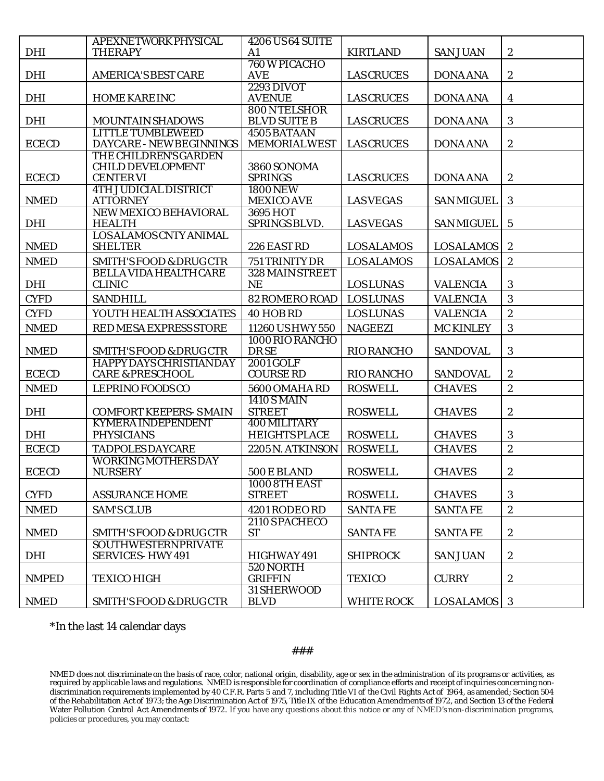| <b>DHI</b>   | APEXNETWORK PHYSICAL<br><b>THERAPY</b>                         | <b>4206 US64 SUITE</b><br>A1               | <b>KIRTLAND</b>   | <b>SAN JUAN</b>   | $\boldsymbol{2}$        |
|--------------|----------------------------------------------------------------|--------------------------------------------|-------------------|-------------------|-------------------------|
| <b>DHI</b>   | <b>AMERICA'S BEST CARE</b>                                     | 760 W PICACHO<br><b>AVE</b>                | <b>LAS CRUCES</b> | <b>DONA ANA</b>   | $\boldsymbol{2}$        |
|              |                                                                |                                            |                   |                   |                         |
| <b>DHI</b>   | <b>HOME KARE INC</b>                                           | <b>2293 DIVOT</b><br><b>AVENUE</b>         | <b>LAS CRUCES</b> | <b>DONA ANA</b>   | $\overline{\mathbf{4}}$ |
| <b>DHI</b>   | <b>MOUNTAIN SHADOWS</b>                                        | 800NTELSHOR<br><b>BLVD SUITE B</b>         | <b>LAS CRUCES</b> | <b>DONA ANA</b>   | 3                       |
| <b>ECECD</b> | <b>LITTLE TUMBLEWEED</b><br>DAYCARE - NEW BEGINNINGS           | 4505 BATAAN<br><b>MEMORIALWEST</b>         | <b>LAS CRUCES</b> | <b>DONA ANA</b>   | $\boldsymbol{2}$        |
|              | THE CHILDREN'S GARDEN                                          |                                            |                   |                   |                         |
| <b>ECECD</b> | <b>CHILD DEVELOPMENT</b><br><b>CENTERVI</b>                    | 3860 SONOMA<br><b>SPRINGS</b>              | <b>LAS CRUCES</b> | <b>DONA ANA</b>   | $\mathbf{2}$            |
| <b>NMED</b>  | <b>4TH JUDICIAL DISTRICT</b><br><b>ATTORNEY</b>                | <b>1800 NEW</b><br><b>MEXICO AVE</b>       | <b>LASVEGAS</b>   | <b>SAN MIGUEL</b> | 3                       |
| <b>DHI</b>   | NEW MEXICO BEHAVIORAL<br><b>HEALTH</b>                         | 3695 HOT<br>SPRINGS BLVD.                  | <b>LASVEGAS</b>   | <b>SAN MIGUEL</b> | $\bf 5$                 |
| <b>NMED</b>  | LOS ALAMOS CNTY ANIMAL<br><b>SHELTER</b>                       | 226 EAST RD                                | <b>LOSALAMOS</b>  | <b>LOSALAMOS</b>  | $\boldsymbol{2}$        |
| <b>NMED</b>  | <b>SMITH'S FOOD &amp; DRUG CTR</b>                             | 751 TRINITY DR                             | <b>LOSALAMOS</b>  | <b>LOSALAMOS</b>  | $\overline{2}$          |
|              | <b>BELLA VIDA HEALTH CARE</b>                                  | 328 MAIN STREET                            |                   |                   |                         |
| <b>DHI</b>   | <b>CLINIC</b>                                                  | <b>NE</b>                                  | <b>LOSLUNAS</b>   | <b>VALENCIA</b>   | 3                       |
| <b>CYFD</b>  | <b>SANDHILL</b>                                                | 82 ROMERO ROAD                             | <b>LOSLUNAS</b>   | <b>VALENCIA</b>   | 3                       |
| <b>CYFD</b>  | YOUTH HEALTH ASSOCIATES                                        | 40 HOB RD                                  | <b>LOSLUNAS</b>   | <b>VALENCIA</b>   | $\sqrt{2}$              |
| <b>NMED</b>  | RED MESA EXPRESS STORE                                         | 11260 USHWY 550                            | <b>NAGEEZI</b>    | <b>MC KINLEY</b>  | 3                       |
|              |                                                                | 1000 RIO RANCHO                            |                   |                   |                         |
| <b>NMED</b>  | <b>SMITH'S FOOD &amp; DRUG CTR</b>                             | <b>DRSE</b>                                | <b>RIO RANCHO</b> | <b>SANDOVAL</b>   | $\mathbf{3}$            |
| <b>ECECD</b> | <b>HAPPY DAYS CHRISTIAN DAY</b><br><b>CARE &amp; PRESCHOOL</b> | <b>2001 GOLF</b><br><b>COURSE RD</b>       | <b>RIO RANCHO</b> | <b>SANDOVAL</b>   | $\boldsymbol{2}$        |
|              |                                                                |                                            |                   |                   | $\overline{2}$          |
| <b>NMED</b>  | <b>LEPRINO FOODS CO</b>                                        | <b>5600 OMAHA RD</b><br><b>1410 S MAIN</b> | <b>ROSWELL</b>    | <b>CHAVES</b>     |                         |
| <b>DHI</b>   | <b>COMFORT KEEPERS-SMAIN</b>                                   | <b>STREET</b>                              | <b>ROSWELL</b>    | <b>CHAVES</b>     | $\boldsymbol{2}$        |
| <b>DHI</b>   | <b>KYMERA INDEPENDENT</b><br><b>PHYSICIANS</b>                 | 400 MILITARY<br><b>HEIGHTS PLACE</b>       | <b>ROSWELL</b>    | <b>CHAVES</b>     | 3                       |
| <b>ECECD</b> | <b>TADPOLES DAYCARE</b>                                        | 2205 N. ATKINSON                           | <b>ROSWELL</b>    | <b>CHAVES</b>     | $\sqrt{2}$              |
|              | WORKING MOTHERS DAY                                            |                                            |                   |                   |                         |
| <b>ECECD</b> | <b>NURSERY</b>                                                 | 500 E BLAND                                | <b>ROSWELL</b>    | <b>CHAVES</b>     | $\boldsymbol{2}$        |
| <b>CYFD</b>  | <b>ASSURANCE HOME</b>                                          | <b>1000 8TH EAST</b><br><b>STREET</b>      | <b>ROSWELL</b>    | <b>CHAVES</b>     | 3                       |
| <b>NMED</b>  | <b>SAM'S CLUB</b>                                              | 4201 RODEO RD                              | <b>SANTAFE</b>    | <b>SANTAFE</b>    | $\overline{2}$          |
|              |                                                                | 2110 SPACHECO                              |                   |                   |                         |
| <b>NMED</b>  | <b>SMITH'S FOOD &amp; DRUG CTR</b>                             | <b>ST</b>                                  | <b>SANTAFE</b>    | <b>SANTAFE</b>    | $\boldsymbol{2}$        |
| DHI          | <b>SOUTHWESTERNPRIVATE</b><br><b>SERVICES-HWY 491</b>          | HIGHWAY 491                                | <b>SHIPROCK</b>   | <b>SAN JUAN</b>   | $\boldsymbol{2}$        |
| <b>NMPED</b> | <b>TEXICO HIGH</b>                                             | 520 NORTH<br><b>GRIFFIN</b>                | <b>TEXICO</b>     | <b>CURRY</b>      | $\boldsymbol{2}$        |
|              |                                                                | 31 SHERWOOD                                |                   |                   |                         |
| <b>NMED</b>  | <b>SMITH'S FOOD &amp; DRUG CTR</b>                             | <b>BLVD</b>                                | <b>WHITE ROCK</b> | <b>LOSALAMOS</b>  | 3                       |

\*In the last 14 calendar days

#### ###

NMED does not discriminate on the basis of race, color, national origin, disability, age or sex in the administration of its programs or activities, as required by applicable laws and regulations. NMED is responsible for coordination of compliance efforts and receipt of inquiries concerning nondiscrimination requirements implemented by 40 C.F.R. Parts 5 and 7, including Title VI of the Civil Rights Act of 1964, as amended; Section 504 of the Rehabilitation Act of 1973; the Age Discrimination Act of 1975, Title IX of the Education Amendments of 1972, and Section 13 of the Federal Water Pollution Control Act Amendments of 1972. If you have any questions about this notice or any of NMED's non-discrimination programs, policies or procedures, you may contact: